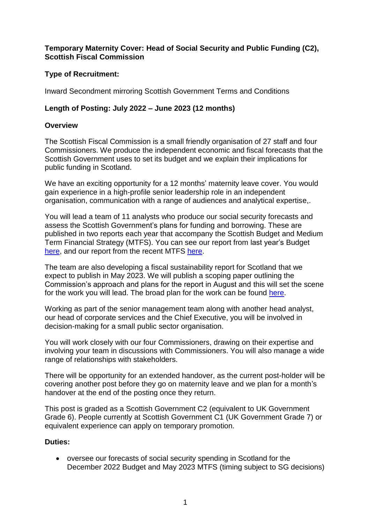## **Temporary Maternity Cover: Head of Social Security and Public Funding (C2), Scottish Fiscal Commission**

## **Type of Recruitment:**

Inward Secondment mirroring Scottish Government Terms and Conditions

# **Length of Posting: July 2022 – June 2023 (12 months)**

### **Overview**

The Scottish Fiscal Commission is a small friendly organisation of 27 staff and four Commissioners. We produce the independent economic and fiscal forecasts that the Scottish Government uses to set its budget and we explain their implications for public funding in Scotland.

We have an exciting opportunity for a 12 months' maternity leave cover. You would gain experience in a high-profile senior leadership role in an independent organisation, communication with a range of audiences and analytical expertise,.

You will lead a team of 11 analysts who produce our social security forecasts and assess the Scottish Government's plans for funding and borrowing. These are published in two reports each year that accompany the Scottish Budget and Medium Term Financial Strategy (MTFS). You can see our report from last year's Budget [here,](https://www.fiscalcommission.scot/publications/scotlands-economic-and-fiscal-forecasts-december-2021/) and our report from the recent MTFS [here.](https://www.fiscalcommission.scot/publications/scotlands-economic-and-fiscal-forecasts-may-2022/)

The team are also developing a fiscal sustainability report for Scotland that we expect to publish in May 2023. We will publish a scoping paper outlining the Commission's approach and plans for the report in August and this will set the scene for the work you will lead. The broad plan for the work can be found [here.](https://www.fiscalcommission.scot/wp-content/uploads/2021/01/Letter-to-Finance-and-Public-Administration-from-Dame-Susan-Rice-about-the-Fiscal-Sustainability-Report-6-September-2021.pdf)

Working as part of the senior management team along with another head analyst, our head of corporate services and the Chief Executive, you will be involved in decision-making for a small public sector organisation.

You will work closely with our four Commissioners, drawing on their expertise and involving your team in discussions with Commissioners. You will also manage a wide range of relationships with stakeholders.

There will be opportunity for an extended handover, as the current post-holder will be covering another post before they go on maternity leave and we plan for a month's handover at the end of the posting once they return.

This post is graded as a Scottish Government C2 (equivalent to UK Government Grade 6). People currently at Scottish Government C1 (UK Government Grade 7) or equivalent experience can apply on temporary promotion.

### **Duties:**

 oversee our forecasts of social security spending in Scotland for the December 2022 Budget and May 2023 MTFS (timing subject to SG decisions)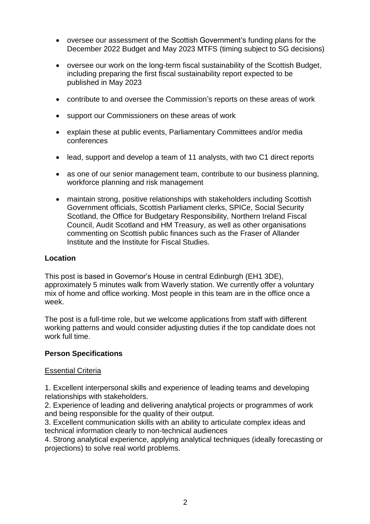- oversee our assessment of the Scottish Government's funding plans for the December 2022 Budget and May 2023 MTFS (timing subject to SG decisions)
- oversee our work on the long-term fiscal sustainability of the Scottish Budget, including preparing the first fiscal sustainability report expected to be published in May 2023
- contribute to and oversee the Commission's reports on these areas of work
- support our Commissioners on these areas of work
- explain these at public events, Parliamentary Committees and/or media conferences
- lead, support and develop a team of 11 analysts, with two C1 direct reports
- as one of our senior management team, contribute to our business planning, workforce planning and risk management
- maintain strong, positive relationships with stakeholders including Scottish Government officials, Scottish Parliament clerks, SPICe, Social Security Scotland, the Office for Budgetary Responsibility, Northern Ireland Fiscal Council, Audit Scotland and HM Treasury, as well as other organisations commenting on Scottish public finances such as the Fraser of Allander Institute and the Institute for Fiscal Studies.

### **Location**

This post is based in Governor's House in central Edinburgh (EH1 3DE), approximately 5 minutes walk from Waverly station. We currently offer a voluntary mix of home and office working. Most people in this team are in the office once a week.

The post is a full-time role, but we welcome applications from staff with different working patterns and would consider adjusting duties if the top candidate does not work full time.

#### **Person Specifications**

#### Essential Criteria

1. Excellent interpersonal skills and experience of leading teams and developing relationships with stakeholders.

2. Experience of leading and delivering analytical projects or programmes of work and being responsible for the quality of their output.

3. Excellent communication skills with an ability to articulate complex ideas and technical information clearly to non-technical audiences

4. Strong analytical experience, applying analytical techniques (ideally forecasting or projections) to solve real world problems.